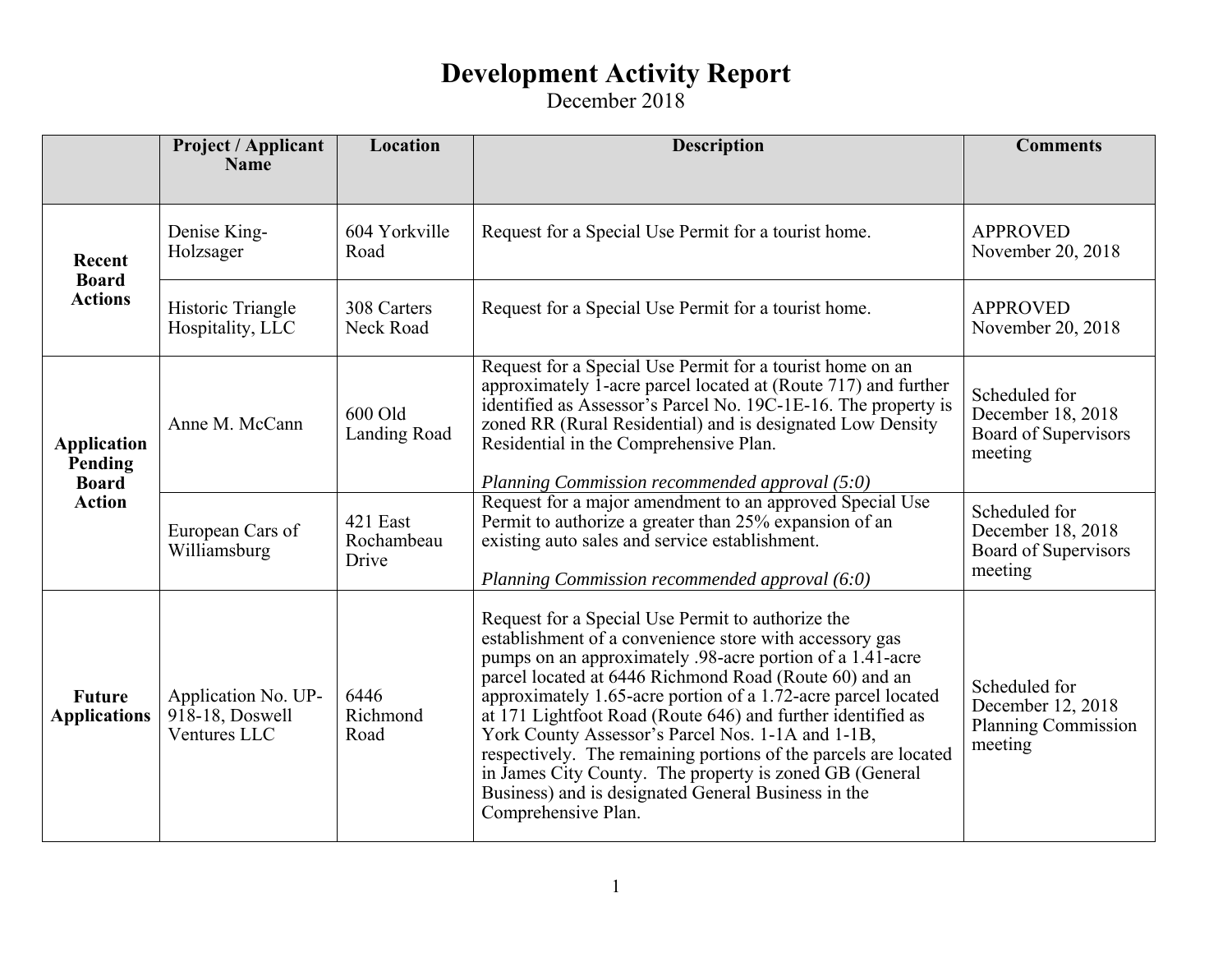|                                                                | <b>Project / Applicant</b><br><b>Name</b>                 | Location                        | <b>Description</b>                                                                                                                                                                                                                                                                                                                                                                                                                                                                                                                                                                                                                   | <b>Comments</b>                                                             |
|----------------------------------------------------------------|-----------------------------------------------------------|---------------------------------|--------------------------------------------------------------------------------------------------------------------------------------------------------------------------------------------------------------------------------------------------------------------------------------------------------------------------------------------------------------------------------------------------------------------------------------------------------------------------------------------------------------------------------------------------------------------------------------------------------------------------------------|-----------------------------------------------------------------------------|
| Recent                                                         | Denise King-<br>Holzsager                                 | 604 Yorkville<br>Road           | Request for a Special Use Permit for a tourist home.                                                                                                                                                                                                                                                                                                                                                                                                                                                                                                                                                                                 | <b>APPROVED</b><br>November 20, 2018                                        |
| <b>Board</b><br><b>Actions</b>                                 | Historic Triangle<br>Hospitality, LLC                     | 308 Carters<br>Neck Road        | Request for a Special Use Permit for a tourist home.                                                                                                                                                                                                                                                                                                                                                                                                                                                                                                                                                                                 | <b>APPROVED</b><br>November 20, 2018                                        |
| <b>Application</b><br>Pending<br><b>Board</b><br><b>Action</b> | Anne M. McCann                                            | 600 Old<br><b>Landing Road</b>  | Request for a Special Use Permit for a tourist home on an<br>approximately 1-acre parcel located at (Route 717) and further<br>identified as Assessor's Parcel No. 19C-1E-16. The property is<br>zoned RR (Rural Residential) and is designated Low Density<br>Residential in the Comprehensive Plan.<br>Planning Commission recommended approval (5:0)                                                                                                                                                                                                                                                                              | Scheduled for<br>December 18, 2018<br>Board of Supervisors<br>meeting       |
|                                                                | European Cars of<br>Williamsburg                          | 421 East<br>Rochambeau<br>Drive | Request for a major amendment to an approved Special Use<br>Permit to authorize a greater than 25% expansion of an<br>existing auto sales and service establishment.<br>Planning Commission recommended approval (6:0)                                                                                                                                                                                                                                                                                                                                                                                                               | Scheduled for<br>December 18, 2018<br>Board of Supervisors<br>meeting       |
| <b>Future</b><br><b>Applications</b>                           | Application No. UP-<br>$918-18$ , Doswell<br>Ventures LLC | 6446<br>Richmond<br>Road        | Request for a Special Use Permit to authorize the<br>establishment of a convenience store with accessory gas<br>pumps on an approximately .98-acre portion of a 1.41-acre<br>parcel located at 6446 Richmond Road (Route 60) and an<br>approximately 1.65-acre portion of a 1.72-acre parcel located<br>at 171 Lightfoot Road (Route 646) and further identified as<br>York County Assessor's Parcel Nos. 1-1A and 1-1B,<br>respectively. The remaining portions of the parcels are located<br>in James City County. The property is zoned GB (General<br>Business) and is designated General Business in the<br>Comprehensive Plan. | Scheduled for<br>December 12, 2018<br><b>Planning Commission</b><br>meeting |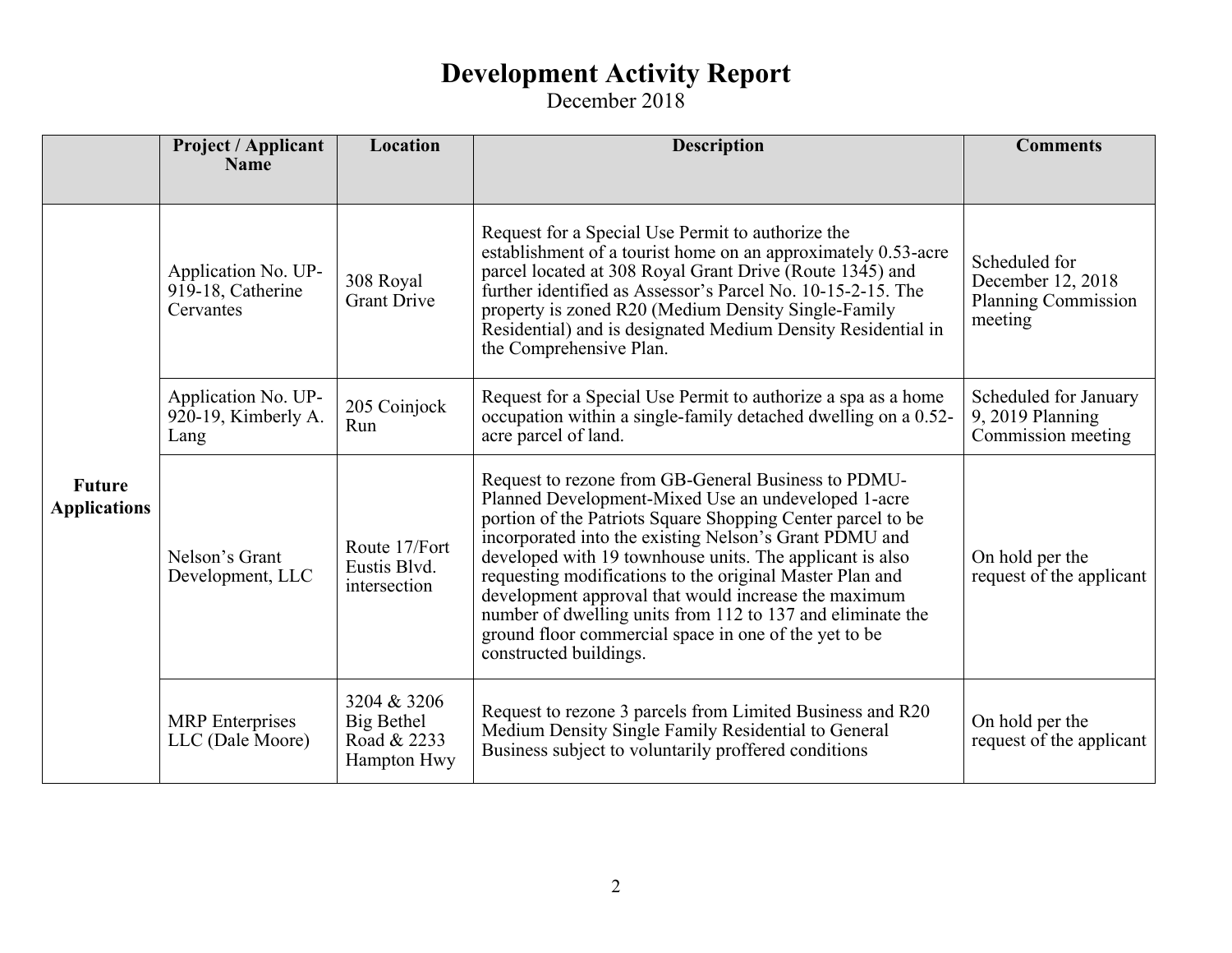|                                      | <b>Project / Applicant</b><br><b>Name</b>             | Location                                                | <b>Description</b>                                                                                                                                                                                                                                                                                                                                                                                                                                                                                                                                                   | <b>Comments</b>                                                             |
|--------------------------------------|-------------------------------------------------------|---------------------------------------------------------|----------------------------------------------------------------------------------------------------------------------------------------------------------------------------------------------------------------------------------------------------------------------------------------------------------------------------------------------------------------------------------------------------------------------------------------------------------------------------------------------------------------------------------------------------------------------|-----------------------------------------------------------------------------|
|                                      |                                                       |                                                         |                                                                                                                                                                                                                                                                                                                                                                                                                                                                                                                                                                      |                                                                             |
| <b>Future</b><br><b>Applications</b> | Application No. UP-<br>919-18, Catherine<br>Cervantes | 308 Royal<br><b>Grant Drive</b>                         | Request for a Special Use Permit to authorize the<br>establishment of a tourist home on an approximately 0.53-acre<br>parcel located at 308 Royal Grant Drive (Route 1345) and<br>further identified as Assessor's Parcel No. 10-15-2-15. The<br>property is zoned R20 (Medium Density Single-Family<br>Residential) and is designated Medium Density Residential in<br>the Comprehensive Plan.                                                                                                                                                                      | Scheduled for<br>December 12, 2018<br><b>Planning Commission</b><br>meeting |
|                                      | Application No. UP-<br>920-19, Kimberly A.<br>Lang    | 205 Coinjock<br>Run                                     | Request for a Special Use Permit to authorize a spa as a home<br>occupation within a single-family detached dwelling on a 0.52-<br>acre parcel of land.                                                                                                                                                                                                                                                                                                                                                                                                              | Scheduled for January<br>9, 2019 Planning<br>Commission meeting             |
|                                      | Nelson's Grant<br>Development, LLC                    | Route 17/Fort<br>Eustis Blvd.<br>intersection           | Request to rezone from GB-General Business to PDMU-<br>Planned Development-Mixed Use an undeveloped 1-acre<br>portion of the Patriots Square Shopping Center parcel to be<br>incorporated into the existing Nelson's Grant PDMU and<br>developed with 19 townhouse units. The applicant is also<br>requesting modifications to the original Master Plan and<br>development approval that would increase the maximum<br>number of dwelling units from 112 to 137 and eliminate the<br>ground floor commercial space in one of the yet to be<br>constructed buildings. | On hold per the<br>request of the applicant                                 |
|                                      | <b>MRP</b> Enterprises<br>LLC (Dale Moore)            | 3204 & 3206<br>Big Bethel<br>Road & 2233<br>Hampton Hwy | Request to rezone 3 parcels from Limited Business and R20<br>Medium Density Single Family Residential to General<br>Business subject to voluntarily proffered conditions                                                                                                                                                                                                                                                                                                                                                                                             | On hold per the<br>request of the applicant                                 |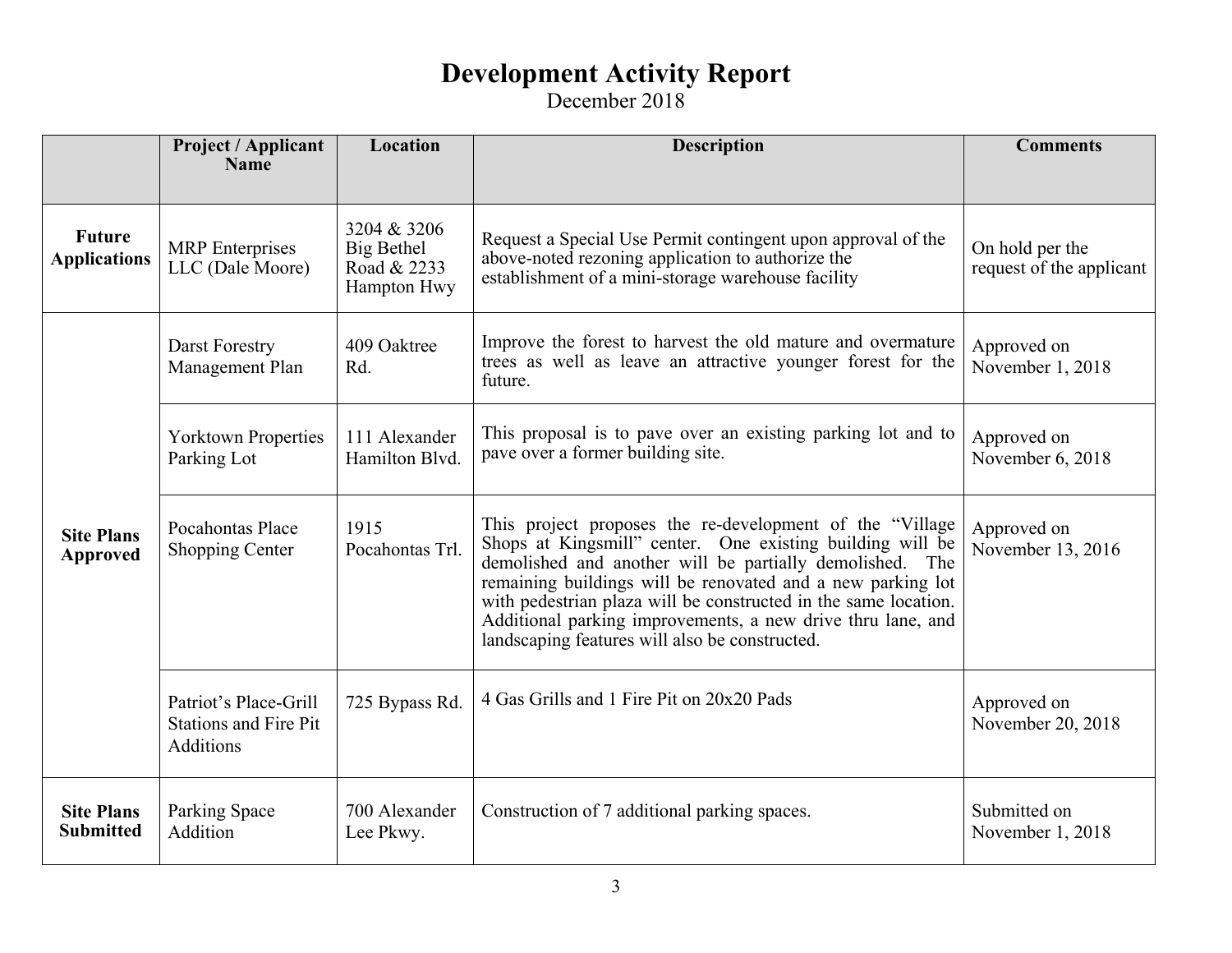|                                       | <b>Project / Applicant</b><br><b>Name</b>                          | Location                                                | <b>Description</b>                                                                                                                                                                                                                                                                                                                                                                                                                    | <b>Comments</b>                             |
|---------------------------------------|--------------------------------------------------------------------|---------------------------------------------------------|---------------------------------------------------------------------------------------------------------------------------------------------------------------------------------------------------------------------------------------------------------------------------------------------------------------------------------------------------------------------------------------------------------------------------------------|---------------------------------------------|
|                                       |                                                                    |                                                         |                                                                                                                                                                                                                                                                                                                                                                                                                                       |                                             |
| <b>Future</b><br><b>Applications</b>  | <b>MRP</b> Enterprises<br>LLC (Dale Moore)                         | 3204 & 3206<br>Big Bethel<br>Road & 2233<br>Hampton Hwy | Request a Special Use Permit contingent upon approval of the<br>above-noted rezoning application to authorize the<br>establishment of a mini-storage warehouse facility                                                                                                                                                                                                                                                               | On hold per the<br>request of the applicant |
| <b>Site Plans</b><br><b>Approved</b>  | Darst Forestry<br>Management Plan                                  | 409 Oaktree<br>Rd.                                      | Improve the forest to harvest the old mature and overmature<br>trees as well as leave an attractive younger forest for the<br>future.                                                                                                                                                                                                                                                                                                 | Approved on<br>November 1, 2018             |
|                                       | <b>Yorktown Properties</b><br>Parking Lot                          | 111 Alexander<br>Hamilton Blvd.                         | This proposal is to pave over an existing parking lot and to<br>pave over a former building site.                                                                                                                                                                                                                                                                                                                                     | Approved on<br>November 6, 2018             |
|                                       | Pocahontas Place<br><b>Shopping Center</b>                         | 1915<br>Pocahontas Trl.                                 | This project proposes the re-development of the "Village"<br>Shops at Kingsmill" center. One existing building will be<br>demolished and another will be partially demolished. The<br>remaining buildings will be renovated and a new parking lot<br>with pedestrian plaza will be constructed in the same location.<br>Additional parking improvements, a new drive thru lane, and<br>landscaping features will also be constructed. | Approved on<br>November 13, 2016            |
|                                       | Patriot's Place-Grill<br><b>Stations and Fire Pit</b><br>Additions | 725 Bypass Rd.                                          | 4 Gas Grills and 1 Fire Pit on 20x20 Pads                                                                                                                                                                                                                                                                                                                                                                                             | Approved on<br>November 20, 2018            |
| <b>Site Plans</b><br><b>Submitted</b> | Parking Space<br>Addition                                          | 700 Alexander<br>Lee Pkwy.                              | Construction of 7 additional parking spaces.                                                                                                                                                                                                                                                                                                                                                                                          | Submitted on<br>November 1, 2018            |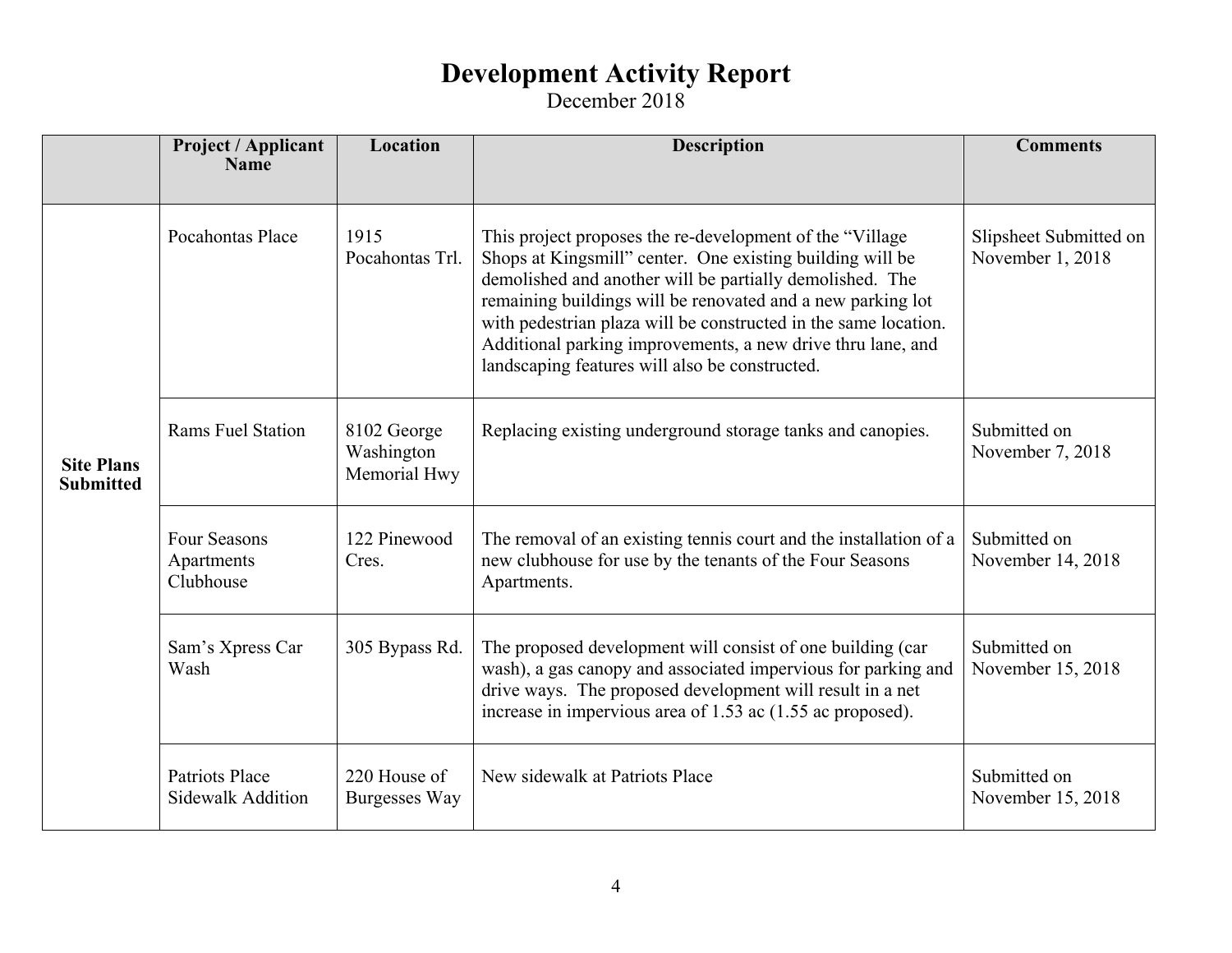|                                       | <b>Project / Applicant</b><br><b>Name</b>      | Location                                  | <b>Description</b>                                                                                                                                                                                                                                                                                                                                                       | <b>Comments</b>                   |
|---------------------------------------|------------------------------------------------|-------------------------------------------|--------------------------------------------------------------------------------------------------------------------------------------------------------------------------------------------------------------------------------------------------------------------------------------------------------------------------------------------------------------------------|-----------------------------------|
|                                       | Pocahontas Place                               | 1915                                      | This project proposes the re-development of the "Village"                                                                                                                                                                                                                                                                                                                | Slipsheet Submitted on            |
| <b>Site Plans</b><br><b>Submitted</b> |                                                | Pocahontas Trl.                           | Shops at Kingsmill" center. One existing building will be<br>demolished and another will be partially demolished. The<br>remaining buildings will be renovated and a new parking lot<br>with pedestrian plaza will be constructed in the same location.<br>Additional parking improvements, a new drive thru lane, and<br>landscaping features will also be constructed. | November 1, 2018                  |
|                                       | <b>Rams Fuel Station</b>                       | 8102 George<br>Washington<br>Memorial Hwy | Replacing existing underground storage tanks and canopies.                                                                                                                                                                                                                                                                                                               | Submitted on<br>November 7, 2018  |
|                                       | <b>Four Seasons</b><br>Apartments<br>Clubhouse | 122 Pinewood<br>Cres.                     | The removal of an existing tennis court and the installation of a<br>new clubhouse for use by the tenants of the Four Seasons<br>Apartments.                                                                                                                                                                                                                             | Submitted on<br>November 14, 2018 |
|                                       | Sam's Xpress Car<br>Wash                       | 305 Bypass Rd.                            | The proposed development will consist of one building (car<br>wash), a gas canopy and associated impervious for parking and<br>drive ways. The proposed development will result in a net<br>increase in impervious area of 1.53 ac (1.55 ac proposed).                                                                                                                   | Submitted on<br>November 15, 2018 |
|                                       | Patriots Place<br><b>Sidewalk Addition</b>     | 220 House of<br>Burgesses Way             | New sidewalk at Patriots Place                                                                                                                                                                                                                                                                                                                                           | Submitted on<br>November 15, 2018 |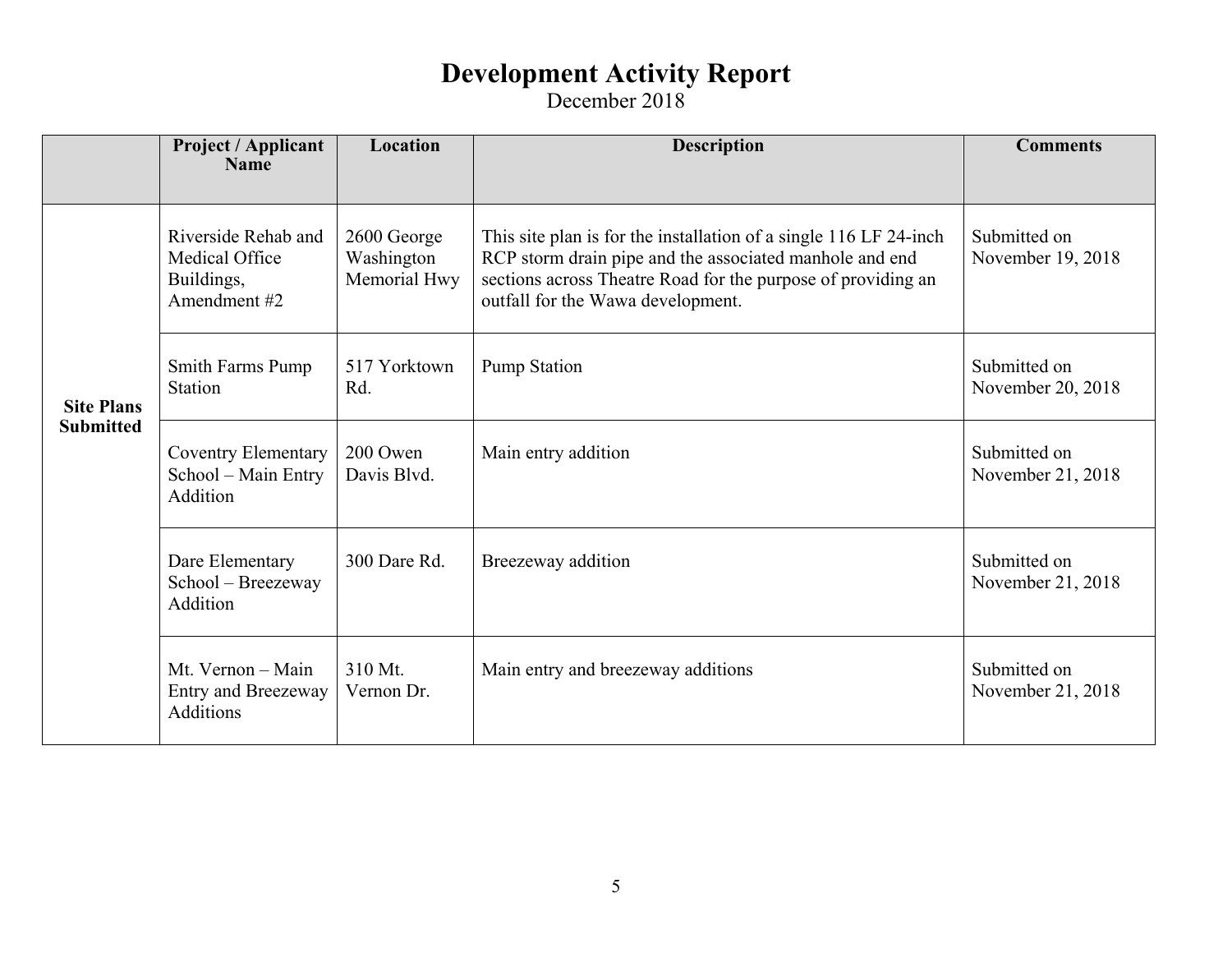|                                       | Project / Applicant<br><b>Name</b>                                  | Location                                  | <b>Description</b>                                                                                                                                                                                                                | <b>Comments</b>                   |
|---------------------------------------|---------------------------------------------------------------------|-------------------------------------------|-----------------------------------------------------------------------------------------------------------------------------------------------------------------------------------------------------------------------------------|-----------------------------------|
|                                       |                                                                     |                                           |                                                                                                                                                                                                                                   |                                   |
| <b>Site Plans</b><br><b>Submitted</b> | Riverside Rehab and<br>Medical Office<br>Buildings,<br>Amendment #2 | 2600 George<br>Washington<br>Memorial Hwy | This site plan is for the installation of a single 116 LF 24-inch<br>RCP storm drain pipe and the associated manhole and end<br>sections across Theatre Road for the purpose of providing an<br>outfall for the Wawa development. | Submitted on<br>November 19, 2018 |
|                                       | <b>Smith Farms Pump</b><br>Station                                  | 517 Yorktown<br>Rd.                       | <b>Pump Station</b>                                                                                                                                                                                                               | Submitted on<br>November 20, 2018 |
|                                       | <b>Coventry Elementary</b><br>School - Main Entry<br>Addition       | 200 Owen<br>Davis Blvd.                   | Main entry addition                                                                                                                                                                                                               | Submitted on<br>November 21, 2018 |
|                                       | Dare Elementary<br>School - Breezeway<br>Addition                   | 300 Dare Rd.                              | Breezeway addition                                                                                                                                                                                                                | Submitted on<br>November 21, 2018 |
|                                       | Mt. Vernon - Main<br><b>Entry and Breezeway</b><br><b>Additions</b> | 310 Mt.<br>Vernon Dr.                     | Main entry and breezeway additions                                                                                                                                                                                                | Submitted on<br>November 21, 2018 |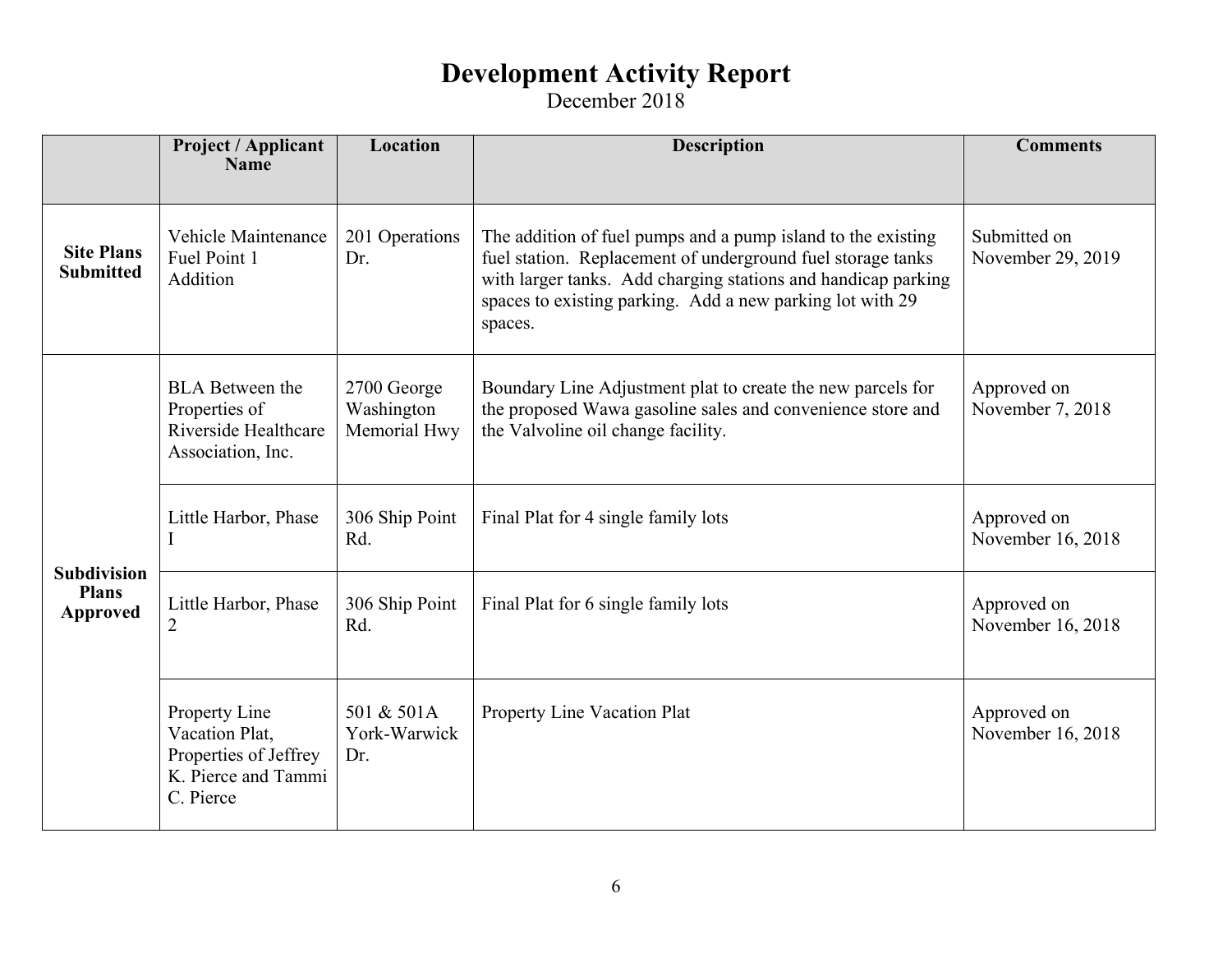|                                                       | <b>Project / Applicant</b><br><b>Name</b>                                                    | Location                                  | <b>Description</b>                                                                                                                                                                                                                                                   | <b>Comments</b>                   |
|-------------------------------------------------------|----------------------------------------------------------------------------------------------|-------------------------------------------|----------------------------------------------------------------------------------------------------------------------------------------------------------------------------------------------------------------------------------------------------------------------|-----------------------------------|
| <b>Site Plans</b><br><b>Submitted</b>                 | Vehicle Maintenance<br>Fuel Point 1<br>Addition                                              | 201 Operations<br>Dr.                     | The addition of fuel pumps and a pump island to the existing<br>fuel station. Replacement of underground fuel storage tanks<br>with larger tanks. Add charging stations and handicap parking<br>spaces to existing parking. Add a new parking lot with 29<br>spaces. | Submitted on<br>November 29, 2019 |
| <b>Subdivision</b><br><b>Plans</b><br><b>Approved</b> | <b>BLA</b> Between the<br>Properties of<br>Riverside Healthcare<br>Association, Inc.         | 2700 George<br>Washington<br>Memorial Hwy | Boundary Line Adjustment plat to create the new parcels for<br>the proposed Wawa gasoline sales and convenience store and<br>the Valvoline oil change facility.                                                                                                      | Approved on<br>November 7, 2018   |
|                                                       | Little Harbor, Phase                                                                         | 306 Ship Point<br>Rd.                     | Final Plat for 4 single family lots                                                                                                                                                                                                                                  | Approved on<br>November 16, 2018  |
|                                                       | Little Harbor, Phase<br>$\overline{2}$                                                       | 306 Ship Point<br>Rd.                     | Final Plat for 6 single family lots                                                                                                                                                                                                                                  | Approved on<br>November 16, 2018  |
|                                                       | Property Line<br>Vacation Plat,<br>Properties of Jeffrey<br>K. Pierce and Tammi<br>C. Pierce | 501 & 501A<br>York-Warwick<br>Dr.         | Property Line Vacation Plat                                                                                                                                                                                                                                          | Approved on<br>November 16, 2018  |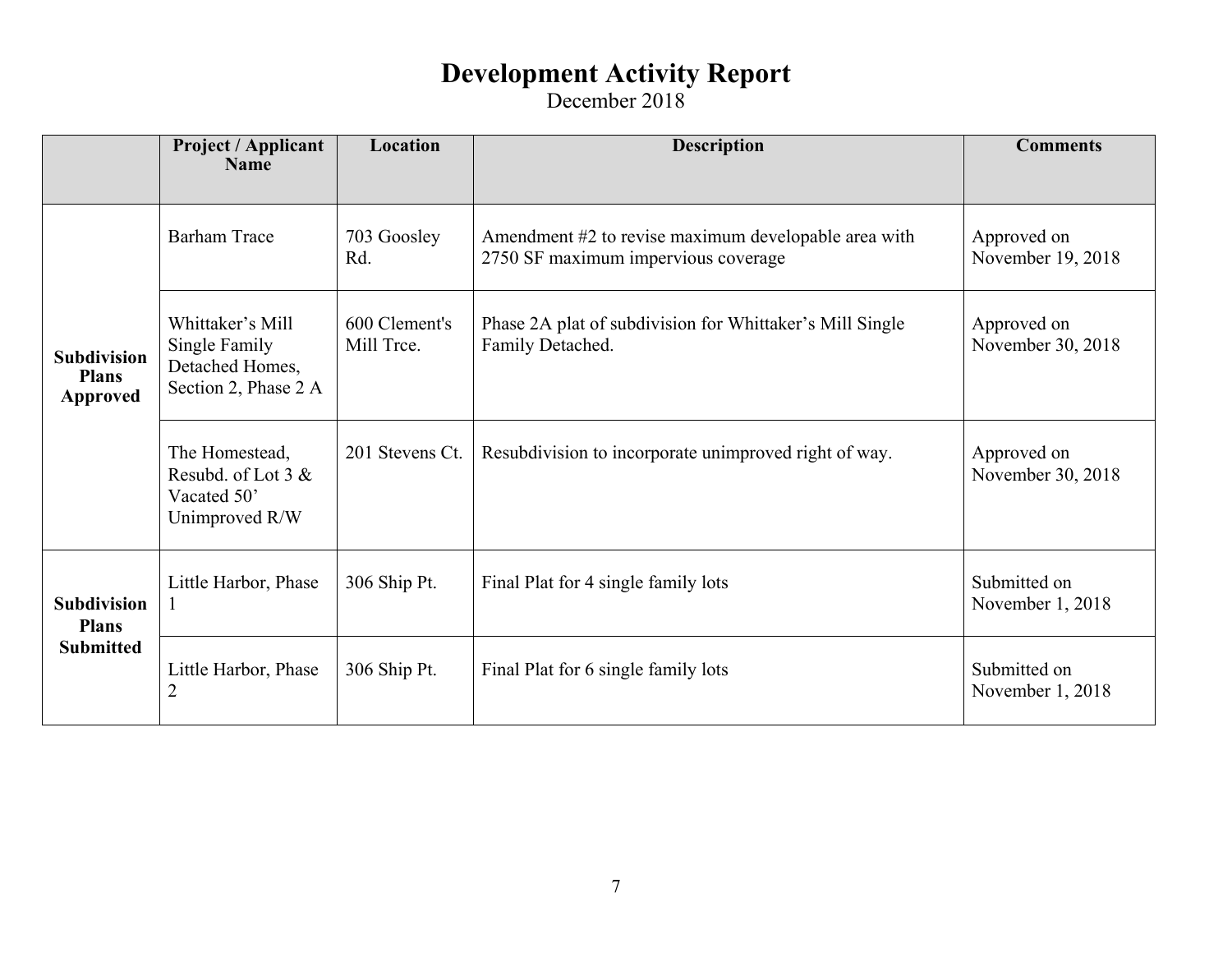|                                                        | Project / Applicant<br><b>Name</b>                                           | Location                    | <b>Description</b>                                                                          | <b>Comments</b>                  |
|--------------------------------------------------------|------------------------------------------------------------------------------|-----------------------------|---------------------------------------------------------------------------------------------|----------------------------------|
|                                                        |                                                                              |                             |                                                                                             |                                  |
| <b>Subdivision</b><br><b>Plans</b><br><b>Approved</b>  | <b>Barham Trace</b>                                                          | 703 Goosley<br>Rd.          | Amendment #2 to revise maximum developable area with<br>2750 SF maximum impervious coverage | Approved on<br>November 19, 2018 |
|                                                        | Whittaker's Mill<br>Single Family<br>Detached Homes,<br>Section 2, Phase 2 A | 600 Clement's<br>Mill Tree. | Phase 2A plat of subdivision for Whittaker's Mill Single<br>Family Detached.                | Approved on<br>November 30, 2018 |
|                                                        | The Homestead,<br>Resubd. of Lot $3 &$<br>Vacated 50'<br>Unimproved R/W      | 201 Stevens Ct.             | Resubdivision to incorporate unimproved right of way.                                       | Approved on<br>November 30, 2018 |
| <b>Subdivision</b><br><b>Plans</b><br><b>Submitted</b> | Little Harbor, Phase<br>$\bf{l}$                                             | 306 Ship Pt.                | Final Plat for 4 single family lots                                                         | Submitted on<br>November 1, 2018 |
|                                                        | Little Harbor, Phase<br>$\overline{2}$                                       | 306 Ship Pt.                | Final Plat for 6 single family lots                                                         | Submitted on<br>November 1, 2018 |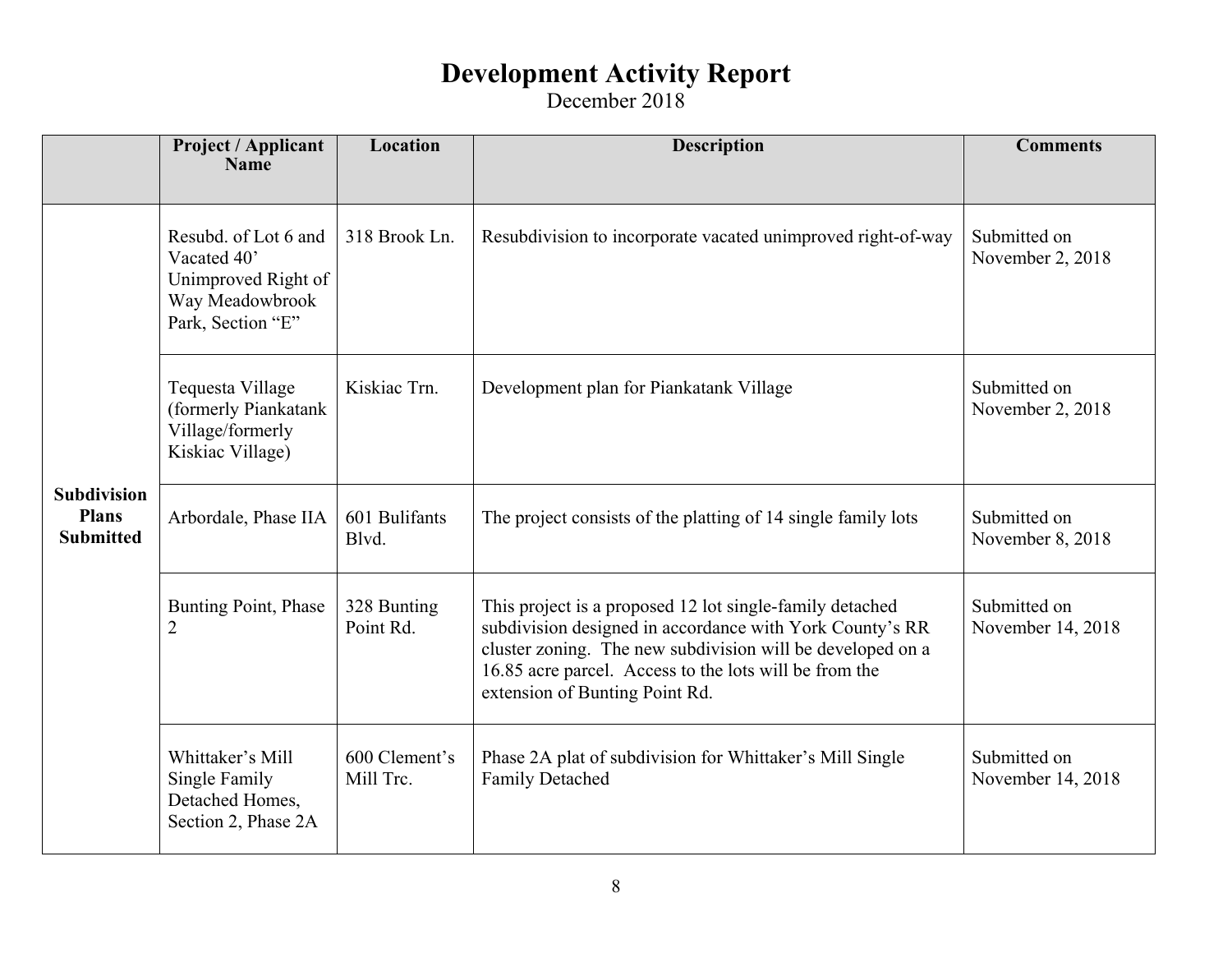|                                                        | <b>Project / Applicant</b><br><b>Name</b>                                                          | Location                   | <b>Description</b>                                                                                                                                                                                                                                                             | <b>Comments</b>                   |
|--------------------------------------------------------|----------------------------------------------------------------------------------------------------|----------------------------|--------------------------------------------------------------------------------------------------------------------------------------------------------------------------------------------------------------------------------------------------------------------------------|-----------------------------------|
| <b>Subdivision</b><br><b>Plans</b><br><b>Submitted</b> | Resubd. of Lot 6 and<br>Vacated 40'<br>Unimproved Right of<br>Way Meadowbrook<br>Park, Section "E" | 318 Brook Ln.              | Resubdivision to incorporate vacated unimproved right-of-way                                                                                                                                                                                                                   | Submitted on<br>November 2, 2018  |
|                                                        | Tequesta Village<br>(formerly Piankatank<br>Village/formerly<br>Kiskiac Village)                   | Kiskiac Trn.               | Development plan for Piankatank Village                                                                                                                                                                                                                                        | Submitted on<br>November 2, 2018  |
|                                                        | Arbordale, Phase IIA                                                                               | 601 Bulifants<br>Blvd.     | The project consists of the platting of 14 single family lots                                                                                                                                                                                                                  | Submitted on<br>November 8, 2018  |
|                                                        | Bunting Point, Phase<br>$\overline{2}$                                                             | 328 Bunting<br>Point Rd.   | This project is a proposed 12 lot single-family detached<br>subdivision designed in accordance with York County's RR<br>cluster zoning. The new subdivision will be developed on a<br>16.85 acre parcel. Access to the lots will be from the<br>extension of Bunting Point Rd. | Submitted on<br>November 14, 2018 |
|                                                        | Whittaker's Mill<br>Single Family<br>Detached Homes,<br>Section 2, Phase 2A                        | 600 Clement's<br>Mill Trc. | Phase 2A plat of subdivision for Whittaker's Mill Single<br><b>Family Detached</b>                                                                                                                                                                                             | Submitted on<br>November 14, 2018 |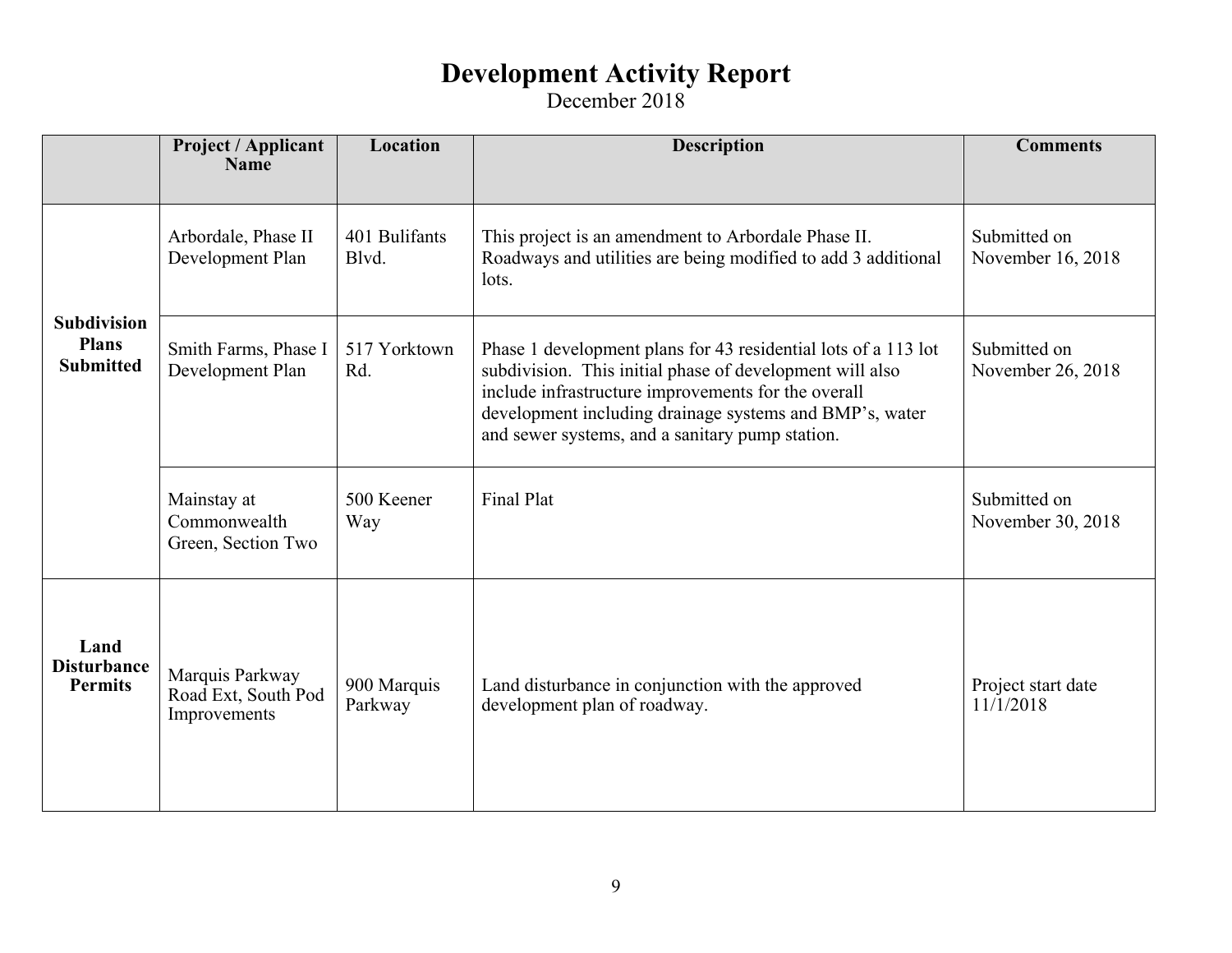|                                                        | <b>Project / Applicant</b><br><b>Name</b>              | Location               | <b>Description</b>                                                                                                                                                                                                                                                                              | <b>Comments</b>                   |
|--------------------------------------------------------|--------------------------------------------------------|------------------------|-------------------------------------------------------------------------------------------------------------------------------------------------------------------------------------------------------------------------------------------------------------------------------------------------|-----------------------------------|
|                                                        |                                                        |                        |                                                                                                                                                                                                                                                                                                 |                                   |
| <b>Subdivision</b><br><b>Plans</b><br><b>Submitted</b> | Arbordale, Phase II<br>Development Plan                | 401 Bulifants<br>Blvd. | This project is an amendment to Arbordale Phase II.<br>Roadways and utilities are being modified to add 3 additional<br>lots.                                                                                                                                                                   | Submitted on<br>November 16, 2018 |
|                                                        | Smith Farms, Phase I<br>Development Plan               | 517 Yorktown<br>Rd.    | Phase 1 development plans for 43 residential lots of a 113 lot<br>subdivision. This initial phase of development will also<br>include infrastructure improvements for the overall<br>development including drainage systems and BMP's, water<br>and sewer systems, and a sanitary pump station. | Submitted on<br>November 26, 2018 |
|                                                        | Mainstay at<br>Commonwealth<br>Green, Section Two      | 500 Keener<br>Way      | <b>Final Plat</b>                                                                                                                                                                                                                                                                               | Submitted on<br>November 30, 2018 |
| Land<br><b>Disturbance</b><br><b>Permits</b>           | Marquis Parkway<br>Road Ext, South Pod<br>Improvements | 900 Marquis<br>Parkway | Land disturbance in conjunction with the approved<br>development plan of roadway.                                                                                                                                                                                                               | Project start date<br>11/1/2018   |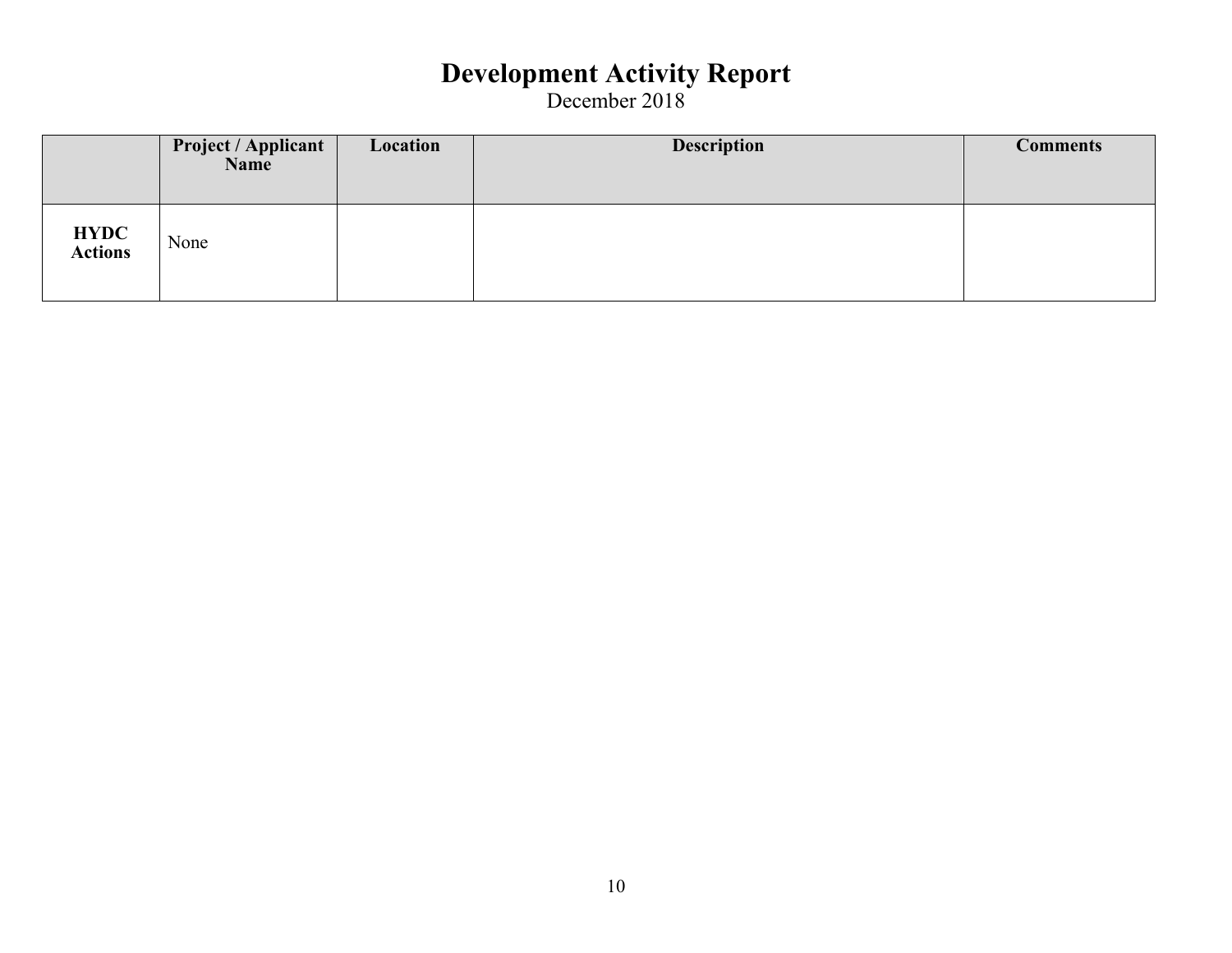|                        | <b>Project / Applicant</b><br>Name | Location | <b>Description</b> | <b>Comments</b> |
|------------------------|------------------------------------|----------|--------------------|-----------------|
| <b>HYDC</b><br>Actions | None                               |          |                    |                 |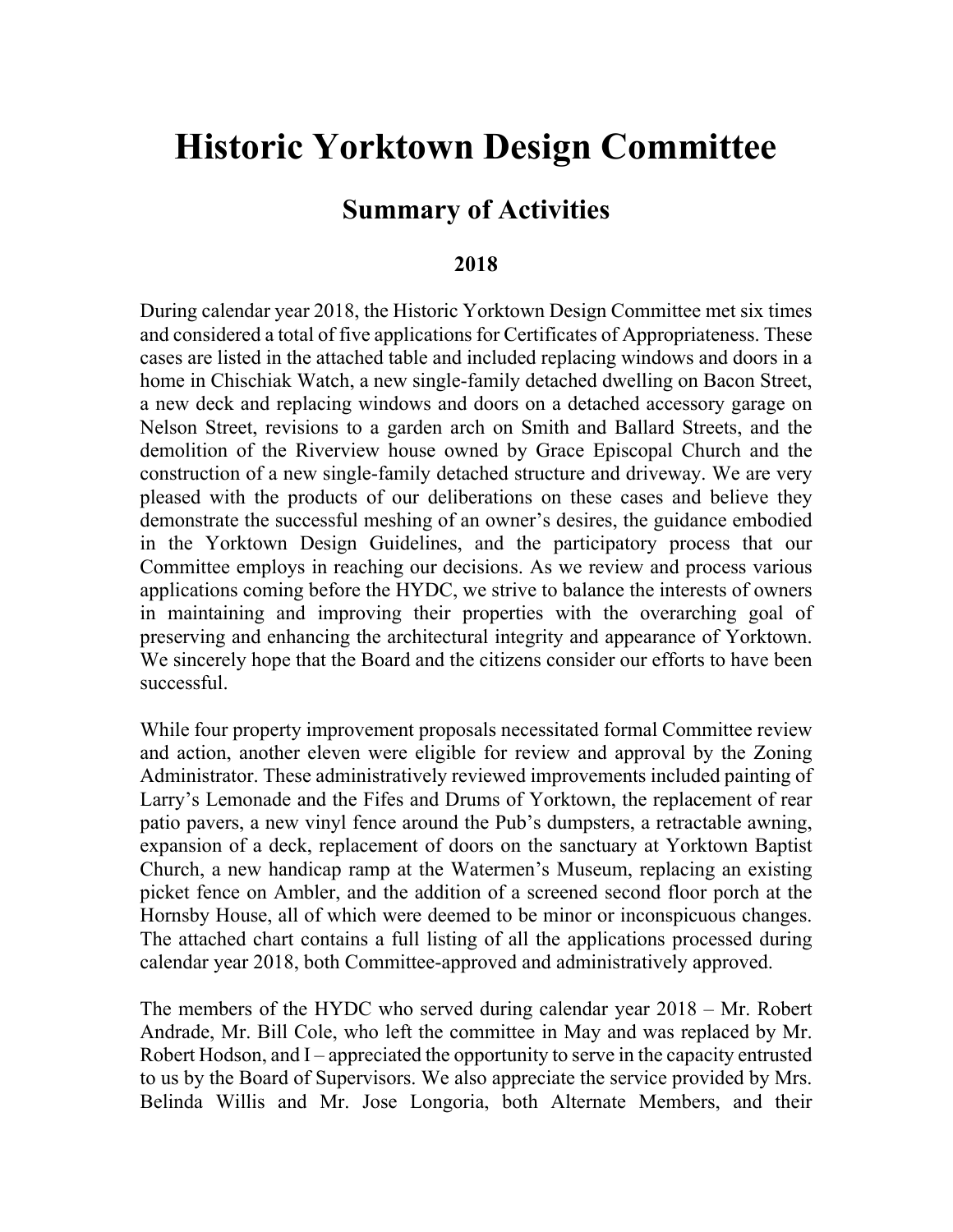# **Historic Yorktown Design Committee**

#### **Summary of Activities**

#### **2018**

During calendar year 2018, the Historic Yorktown Design Committee met six times and considered a total of five applications for Certificates of Appropriateness. These cases are listed in the attached table and included replacing windows and doors in a home in Chischiak Watch, a new single-family detached dwelling on Bacon Street, a new deck and replacing windows and doors on a detached accessory garage on Nelson Street, revisions to a garden arch on Smith and Ballard Streets, and the demolition of the Riverview house owned by Grace Episcopal Church and the construction of a new single-family detached structure and driveway. We are very pleased with the products of our deliberations on these cases and believe they demonstrate the successful meshing of an owner's desires, the guidance embodied in the Yorktown Design Guidelines, and the participatory process that our Committee employs in reaching our decisions. As we review and process various applications coming before the HYDC, we strive to balance the interests of owners in maintaining and improving their properties with the overarching goal of preserving and enhancing the architectural integrity and appearance of Yorktown. We sincerely hope that the Board and the citizens consider our efforts to have been successful.

While four property improvement proposals necessitated formal Committee review and action, another eleven were eligible for review and approval by the Zoning Administrator. These administratively reviewed improvements included painting of Larry's Lemonade and the Fifes and Drums of Yorktown, the replacement of rear patio pavers, a new vinyl fence around the Pub's dumpsters, a retractable awning, expansion of a deck, replacement of doors on the sanctuary at Yorktown Baptist Church, a new handicap ramp at the Watermen's Museum, replacing an existing picket fence on Ambler, and the addition of a screened second floor porch at the Hornsby House, all of which were deemed to be minor or inconspicuous changes. The attached chart contains a full listing of all the applications processed during calendar year 2018, both Committee-approved and administratively approved.

The members of the HYDC who served during calendar year 2018 – Mr. Robert Andrade, Mr. Bill Cole, who left the committee in May and was replaced by Mr. Robert Hodson, and I – appreciated the opportunity to serve in the capacity entrusted to us by the Board of Supervisors. We also appreciate the service provided by Mrs. Belinda Willis and Mr. Jose Longoria, both Alternate Members, and their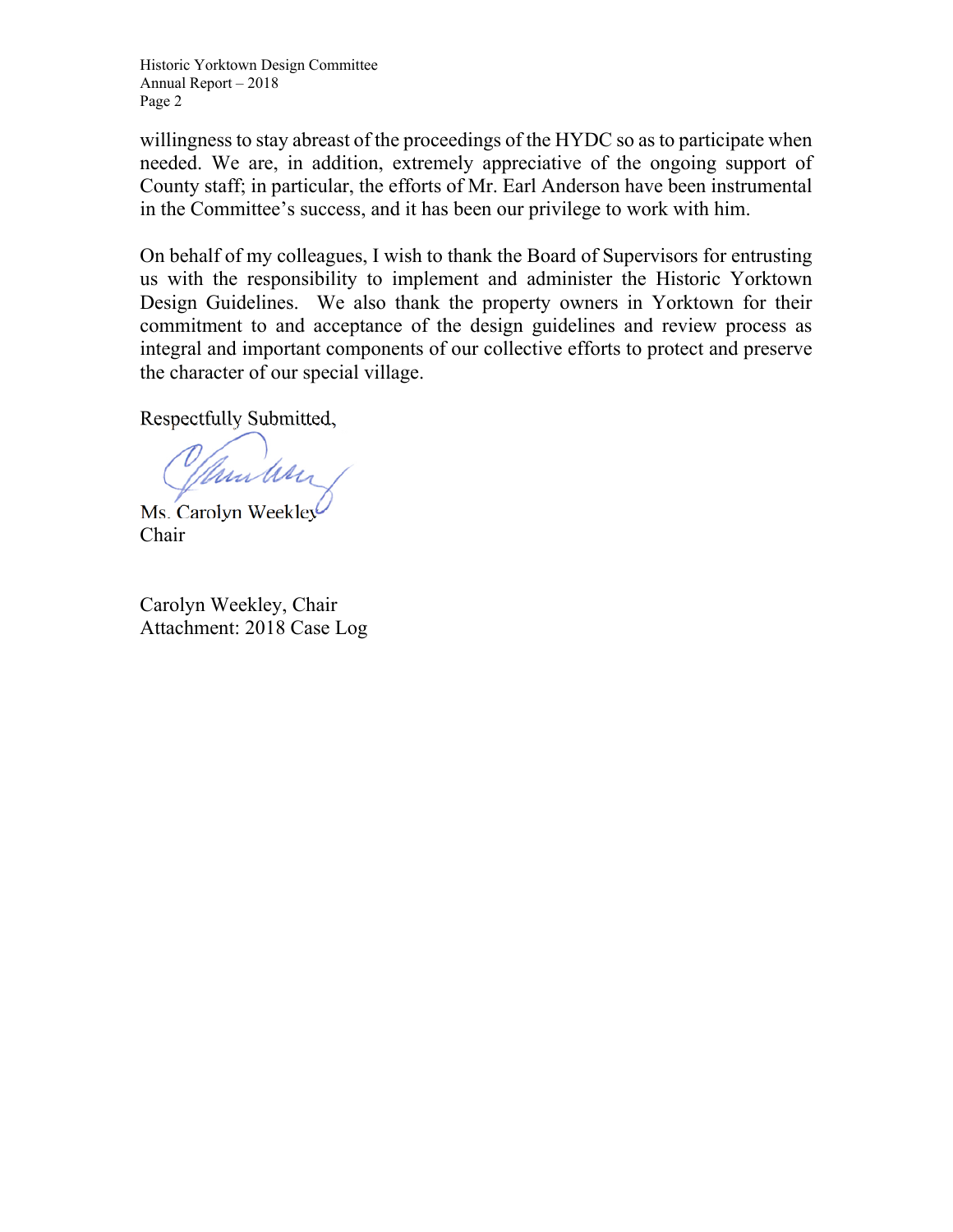Historic Yorktown Design Committee Annual Report – 2018 Page 2

willingness to stay abreast of the proceedings of the HYDC so as to participate when needed. We are, in addition, extremely appreciative of the ongoing support of County staff; in particular, the efforts of Mr. Earl Anderson have been instrumental in the Committee's success, and it has been our privilege to work with him.

On behalf of my colleagues, I wish to thank the Board of Supervisors for entrusting us with the responsibility to implement and administer the Historic Yorktown Design Guidelines. We also thank the property owners in Yorktown for their commitment to and acceptance of the design guidelines and review process as integral and important components of our collective efforts to protect and preserve the character of our special village.

Respectfully Submitted,

Munders

Ms. Carolyn Weekley Chair

Carolyn Weekley, Chair Attachment: 2018 Case Log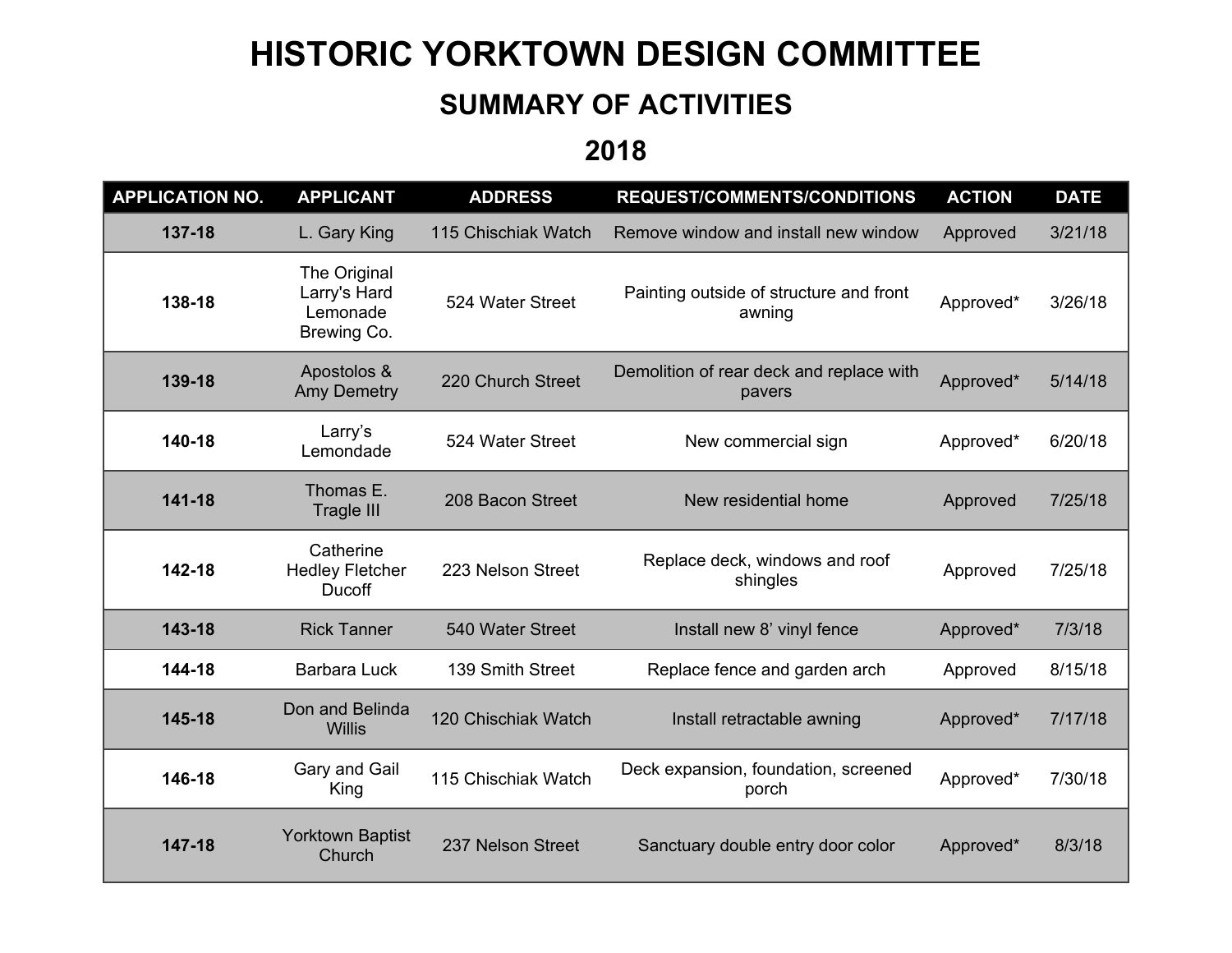# **HISTORIC YORKTOWN DESIGN COMMITTEE**

#### **SUMMARY OF ACTIVITIES**

**2018** 

| <b>APPLICATION NO.</b> | <b>APPLICANT</b>                                        | <b>ADDRESS</b>      | <b>REQUEST/COMMENTS/CONDITIONS</b>                 | <b>ACTION</b> | <b>DATE</b> |
|------------------------|---------------------------------------------------------|---------------------|----------------------------------------------------|---------------|-------------|
| 137-18                 | L. Gary King                                            | 115 Chischiak Watch | Remove window and install new window               | Approved      | 3/21/18     |
| 138-18                 | The Original<br>Larry's Hard<br>Lemonade<br>Brewing Co. | 524 Water Street    | Painting outside of structure and front<br>awning  | Approved*     | 3/26/18     |
| 139-18                 | Apostolos &<br><b>Amy Demetry</b>                       | 220 Church Street   | Demolition of rear deck and replace with<br>pavers | Approved*     | 5/14/18     |
| 140-18                 | Larry's<br>Lemondade                                    | 524 Water Street    | New commercial sign                                | Approved*     | 6/20/18     |
| 141-18                 | Thomas E.<br><b>Tragle III</b>                          | 208 Bacon Street    | New residential home                               | Approved      | 7/25/18     |
| 142-18                 | Catherine<br><b>Hedley Fletcher</b><br>Ducoff           | 223 Nelson Street   | Replace deck, windows and roof<br>shingles         | Approved      | 7/25/18     |
| 143-18                 | <b>Rick Tanner</b>                                      | 540 Water Street    | Install new 8' vinyl fence                         | Approved*     | 7/3/18      |
| 144-18                 | <b>Barbara Luck</b>                                     | 139 Smith Street    | Replace fence and garden arch                      | Approved      | 8/15/18     |
| 145-18                 | Don and Belinda<br><b>Willis</b>                        | 120 Chischiak Watch | Install retractable awning                         | Approved*     | 7/17/18     |
| 146-18                 | Gary and Gail<br>King                                   | 115 Chischiak Watch | Deck expansion, foundation, screened<br>porch      | Approved*     | 7/30/18     |
| 147-18                 | <b>Yorktown Baptist</b><br>Church                       | 237 Nelson Street   | Sanctuary double entry door color                  | Approved*     | 8/3/18      |